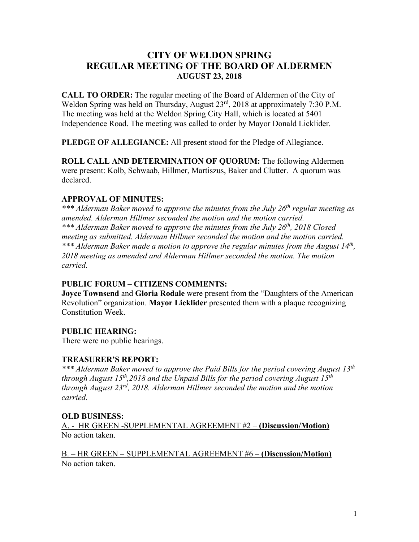# **CITY OF WELDON SPRING REGULAR MEETING OF THE BOARD OF ALDERMEN AUGUST 23, 2018**

**CALL TO ORDER:** The regular meeting of the Board of Aldermen of the City of Weldon Spring was held on Thursday, August 23<sup>rd</sup>, 2018 at approximately 7:30 P.M. The meeting was held at the Weldon Spring City Hall, which is located at 5401 Independence Road. The meeting was called to order by Mayor Donald Licklider.

**PLEDGE OF ALLEGIANCE:** All present stood for the Pledge of Allegiance.

**ROLL CALL AND DETERMINATION OF QUORUM:** The following Aldermen were present: Kolb, Schwaab, Hillmer, Martiszus, Baker and Clutter. A quorum was declared.

### **APPROVAL OF MINUTES:**

*\*\*\* Alderman Baker moved to approve the minutes from the July 26th regular meeting as amended. Alderman Hillmer seconded the motion and the motion carried. \*\*\* Alderman Baker moved to approve the minutes from the July 26th, 2018 Closed meeting as submitted. Alderman Hillmer seconded the motion and the motion carried. \*\*\* Alderman Baker made a motion to approve the regular minutes from the August 14th, 2018 meeting as amended and Alderman Hillmer seconded the motion. The motion carried.*

### **PUBLIC FORUM – CITIZENS COMMENTS:**

**Joyce Townsend** and **Gloria Rodale** were present from the "Daughters of the American Revolution" organization. **Mayor Licklider** presented them with a plaque recognizing Constitution Week.

## **PUBLIC HEARING:**

There were no public hearings.

### **TREASURER'S REPORT:**

*\*\*\* Alderman Baker moved to approve the Paid Bills for the period covering August 13th through August 15th,2018 and the Unpaid Bills for the period covering August 15th through August 23rd, 2018. Alderman Hillmer seconded the motion and the motion carried.*

### **OLD BUSINESS:**

A. - HR GREEN -SUPPLEMENTAL AGREEMENT #2 – **(Discussion/Motion)** No action taken.

B. – HR GREEN – SUPPLEMENTAL AGREEMENT #6 – **(Discussion/Motion)** No action taken.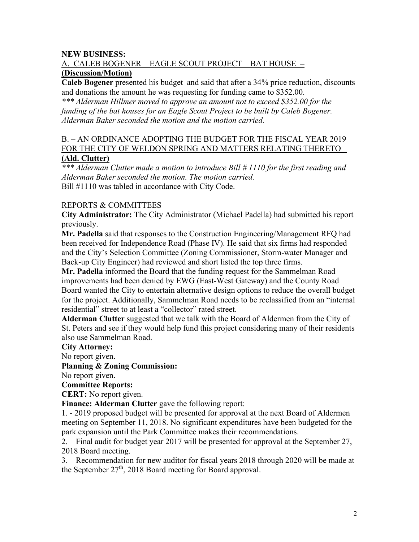### **NEW BUSINESS:**

## A. CALEB BOGENER – EAGLE SCOUT PROJECT – BAT HOUSE **– (Discussion/Motion)**

**Caleb Bogener** presented his budget and said that after a 34% price reduction, discounts and donations the amount he was requesting for funding came to \$352.00.

*\*\*\* Alderman Hillmer moved to approve an amount not to exceed \$352.00 for the funding of the bat houses for an Eagle Scout Project to be built by Caleb Bogener. Alderman Baker seconded the motion and the motion carried.*

### B. – AN ORDINANCE ADOPTING THE BUDGET FOR THE FISCAL YEAR 2019 FOR THE CITY OF WELDON SPRING AND MATTERS RELATING THERETO – **(Ald. Clutter)**

*\*\*\* Alderman Clutter made a motion to introduce Bill # 1110 for the first reading and Alderman Baker seconded the motion. The motion carried.* Bill #1110 was tabled in accordance with City Code.

### REPORTS & COMMITTEES

**City Administrator:** The City Administrator (Michael Padella) had submitted his report previously.

**Mr. Padella** said that responses to the Construction Engineering/Management RFQ had been received for Independence Road (Phase IV). He said that six firms had responded and the City's Selection Committee (Zoning Commissioner, Storm-water Manager and Back-up City Engineer) had reviewed and short listed the top three firms.

**Mr. Padella** informed the Board that the funding request for the Sammelman Road improvements had been denied by EWG (East-West Gateway) and the County Road Board wanted the City to entertain alternative design options to reduce the overall budget for the project. Additionally, Sammelman Road needs to be reclassified from an "internal residential" street to at least a "collector" rated street.

**Alderman Clutter** suggested that we talk with the Board of Aldermen from the City of St. Peters and see if they would help fund this project considering many of their residents also use Sammelman Road.

#### **City Attorney:**

No report given.

#### **Planning & Zoning Commission:**

No report given.

#### **Committee Reports:**

**CERT:** No report given.

**Finance: Alderman Clutter** gave the following report:

1. - 2019 proposed budget will be presented for approval at the next Board of Aldermen meeting on September 11, 2018. No significant expenditures have been budgeted for the park expansion until the Park Committee makes their recommendations.

2. – Final audit for budget year 2017 will be presented for approval at the September 27, 2018 Board meeting.

3. – Recommendation for new auditor for fiscal years 2018 through 2020 will be made at the September 27<sup>th</sup>, 2018 Board meeting for Board approval.